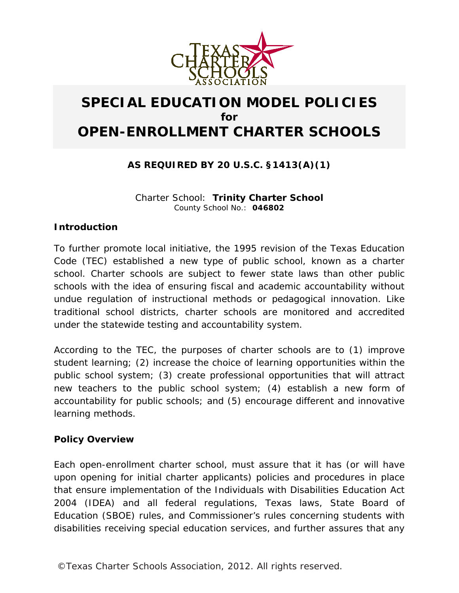

# **SPECIAL EDUCATION MODEL POLICIES for OPEN-ENROLLMENT CHARTER SCHOOLS**

## **AS REQUIRED BY 20 U.S.C. §1413(A)(1)**

Charter School: **Trinity Charter School** County School No.: **046802**

#### *Introduction*

To further promote local initiative, the 1995 revision of the Texas Education Code (TEC) established a new type of public school, known as a charter school. Charter schools are subject to fewer state laws than other public schools with the idea of ensuring fiscal and academic accountability without undue regulation of instructional methods or pedagogical innovation. Like traditional school districts, charter schools are monitored and accredited under the statewide testing and accountability system.

According to the TEC, the purposes of charter schools are to (1) improve student learning; (2) increase the choice of learning opportunities within the public school system; (3) create professional opportunities that will attract new teachers to the public school system; (4) establish a new form of accountability for public schools; and (5) encourage different and innovative learning methods.

### *Policy Overview*

Each open-enrollment charter school, must assure that it has (or will have upon opening for initial charter applicants) policies and procedures in place that ensure implementation of the Individuals with Disabilities Education Act 2004 (IDEA) and all federal regulations, Texas laws, State Board of Education (SBOE) rules, and Commissioner's rules concerning students with disabilities receiving special education services, and further assures that any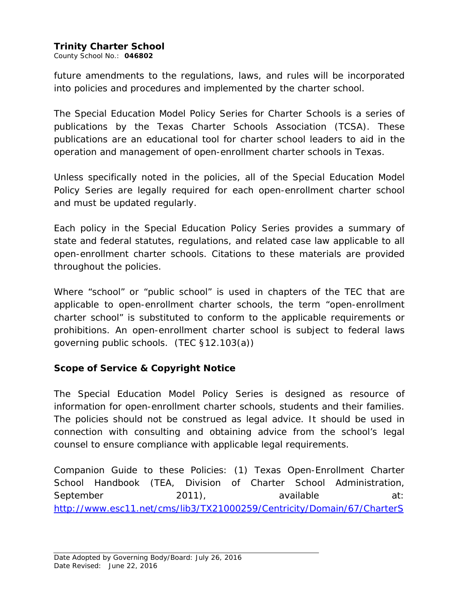### **Trinity Charter School**

County School No.: **046802**

future amendments to the regulations, laws, and rules will be incorporated into policies and procedures and implemented by the charter school.

The Special Education Model Policy Series for Charter Schools is a series of publications by the Texas Charter Schools Association (TCSA). These publications are an educational tool for charter school leaders to aid in the operation and management of open-enrollment charter schools in Texas.

Unless specifically noted in the policies, all of the Special Education Model Policy Series are legally required for each open-enrollment charter school and must be updated regularly.

Each policy in the Special Education Policy Series provides a summary of state and federal statutes, regulations, and related case law applicable to all open-enrollment charter schools. Citations to these materials are provided throughout the policies.

Where "school" or "public school" is used in chapters of the TEC that are applicable to open-enrollment charter schools, the term "open-enrollment charter school" is substituted to conform to the applicable requirements or prohibitions. An open-enrollment charter school is subject to federal laws governing public schools. (TEC §12.103(a))

### *Scope of Service & Copyright Notice*

The Special Education Model Policy Series is designed as resource of information for open-enrollment charter schools, students and their families. The policies should not be construed as legal advice. It should be used in connection with consulting and obtaining advice from the school's legal counsel to ensure compliance with applicable legal requirements.

Companion Guide to these Policies: (1) *Texas Open-Enrollment Charter School Handbook* (TEA, Division of Charter School Administration, September 2011), available at: [http://www.esc11.net/cms/lib3/TX21000259/Centricity/Domain/67/CharterS](http://www.esc11.net/cms/lib3/TX21000259/Centricity/Domain/67/CharterSchoolHandbook.pdf)